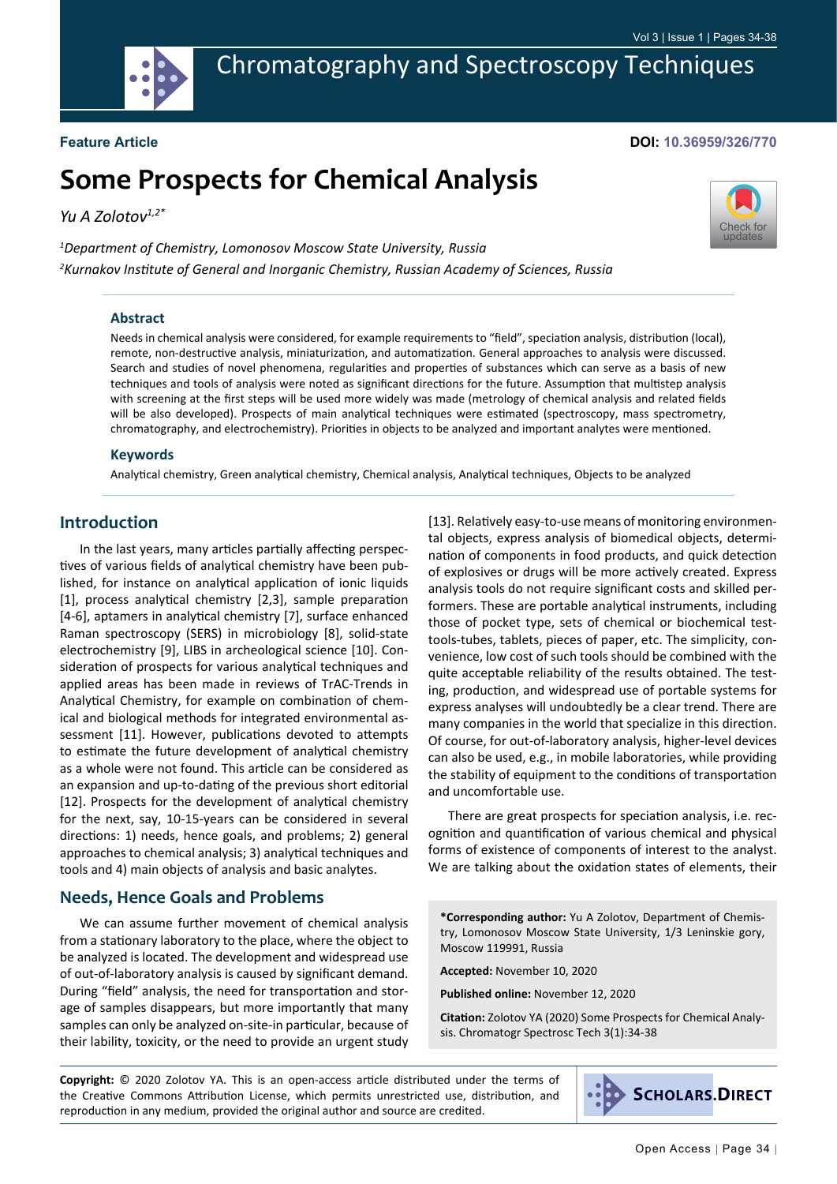

Chromatography and Spectroscopy Techniques

**Feature Article**

#### **DOI: 10.36959/326/770**

[Check for](http://crossmark.crossref.org/dialog/?doi=10.36959/326/770&domain=pdf) updates

# **Some Prospects for Chemical Analysis**

*Yu A Zolotov1,2\**

*1 Department of Chemistry, Lomonosov Moscow State University, Russia 2 Kurnakov Institute of General and Inorganic Chemistry, Russian Academy of Sciences, Russia*

#### **Abstract**

Needs in chemical analysis were considered, for example requirements to "field", speciation analysis, distribution (local), remote, non-destructive analysis, miniaturization, and automatization. General approaches to analysis were discussed. Search and studies of novel phenomena, regularities and properties of substances which can serve as a basis of new techniques and tools of analysis were noted as significant directions for the future. Assumption that multistep analysis with screening at the first steps will be used more widely was made (metrology of chemical analysis and related fields will be also developed). Prospects of main analytical techniques were estimated (spectroscopy, mass spectrometry, chromatography, and electrochemistry). Priorities in objects to be analyzed and important analytes were mentioned.

#### **Keywords**

Analytical chemistry, Green analytical chemistry, Chemical analysis, Analytical techniques, Objects to be analyzed

### **Introduction**

In the last years, many articles partially affecting perspectives of various fields of analytical chemistry have been published, for instance on analytical application of ionic liquids [1], process analytical chemistry [2,3], sample preparation [4-6], aptamers in analytical chemistry [7], surface enhanced Raman spectroscopy (SERS) in microbiology [8], solid-state electrochemistry [9], LIBS in archeological science [10]. Consideration of prospects for various analytical techniques and applied areas has been made in reviews of TrAC-Trends in Analytical Chemistry, for example on combination of chemical and biological methods for integrated environmental assessment [11]. However, publications devoted to attempts to estimate the future development of analytical chemistry as a whole were not found. This article can be considered as an expansion and up-to-dating of the previous short editorial [12]. Prospects for the development of analytical chemistry for the next, say, 10-15-years can be considered in several directions: 1) needs, hence goals, and problems; 2) general approaches to chemical analysis; 3) analytical techniques and tools and 4) main objects of analysis and basic analytes.

#### **Needs, Hence Goals and Problems**

We can assume further movement of chemical analysis from a stationary laboratory to the place, where the object to be analyzed is located. The development and widespread use of out-of-laboratory analysis is caused by significant demand. During "field" analysis, the need for transportation and storage of samples disappears, but more importantly that many samples can only be analyzed on-site-in particular, because of their lability, toxicity, or the need to provide an urgent study [13]. Relatively easy-to-use means of monitoring environmental objects, express analysis of biomedical objects, determination of components in food products, and quick detection of explosives or drugs will be more actively created. Express analysis tools do not require significant costs and skilled performers. These are portable analytical instruments, including those of pocket type, sets of chemical or biochemical testtools-tubes, tablets, pieces of paper, etc. The simplicity, convenience, low cost of such tools should be combined with the quite acceptable reliability of the results obtained. The testing, production, and widespread use of portable systems for express analyses will undoubtedly be a clear trend. There are many companies in the world that specialize in this direction. Of course, for out-of-laboratory analysis, higher-level devices can also be used, e.g., in mobile laboratories, while providing the stability of equipment to the conditions of transportation and uncomfortable use.

There are great prospects for speciation analysis, i.e. recognition and quantification of various chemical and physical forms of existence of components of interest to the analyst. We are talking about the oxidation states of elements, their

**\*Corresponding author:** Yu A Zolotov, Department of Chemistry, Lomonosov Moscow State University, 1/3 Leninskie gory, Moscow 119991, Russia

**Accepted:** November 10, 2020

**Published online:** November 12, 2020

**Citation:** Zolotov YA (2020) Some Prospects for Chemical Analysis. Chromatogr Spectrosc Tech 3(1):34-38

**Copyright:** © 2020 Zolotov YA. This is an open-access article distributed under the terms of the Creative Commons Attribution License, which permits unrestricted use, distribution, and reproduction in any medium, provided the original author and source are credited.

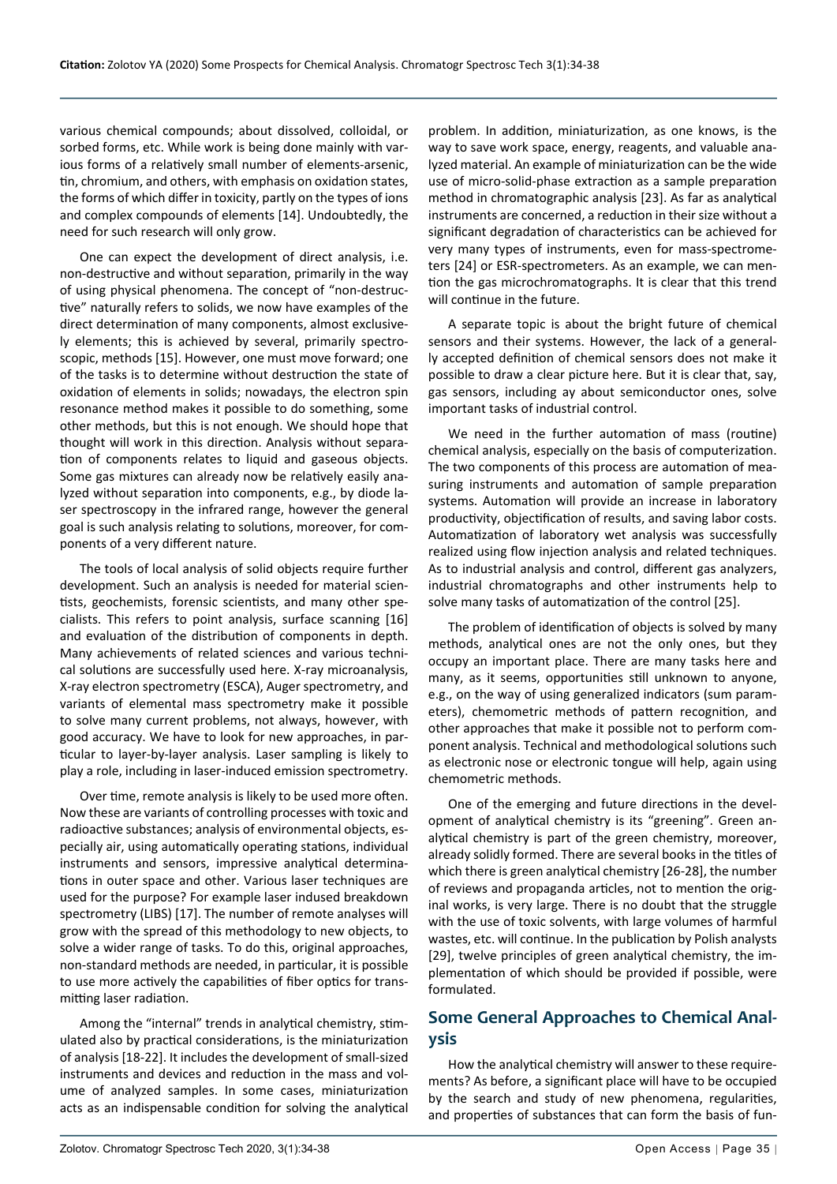various chemical compounds; about dissolved, colloidal, or sorbed forms, etc. While work is being done mainly with various forms of a relatively small number of elements-arsenic, tin, chromium, and others, with emphasis on oxidation states, the forms of which differ in toxicity, partly on the types of ions and complex compounds of elements [14]. Undoubtedly, the need for such research will only grow.

One can expect the development of direct analysis, i.e. non-destructive and without separation, primarily in the way of using physical phenomena. The concept of "non-destructive" naturally refers to solids, we now have examples of the direct determination of many components, almost exclusively elements; this is achieved by several, primarily spectroscopic, methods [15]. However, one must move forward; one of the tasks is to determine without destruction the state of oxidation of elements in solids; nowadays, the electron spin resonance method makes it possible to do something, some other methods, but this is not enough. We should hope that thought will work in this direction. Analysis without separation of components relates to liquid and gaseous objects. Some gas mixtures can already now be relatively easily analyzed without separation into components, e.g., by diode laser spectroscopy in the infrared range, however the general goal is such analysis relating to solutions, moreover, for components of a very different nature.

The tools of local analysis of solid objects require further development. Such an analysis is needed for material scientists, geochemists, forensic scientists, and many other specialists. This refers to point analysis, surface scanning [16] and evaluation of the distribution of components in depth. Many achievements of related sciences and various technical solutions are successfully used here. X-ray microanalysis, X-ray electron spectrometry (ESCA), Auger spectrometry, and variants of elemental mass spectrometry make it possible to solve many current problems, not always, however, with good accuracy. We have to look for new approaches, in particular to layer-by-layer analysis. Laser sampling is likely to play a role, including in laser-induced emission spectrometry.

Over time, remote analysis is likely to be used more often. Now these are variants of controlling processes with toxic and radioactive substances; analysis of environmental objects, especially air, using automatically operating stations, individual instruments and sensors, impressive analytical determinations in outer space and other. Various laser techniques are used for the purpose? For example laser indused breakdown spectrometry (LIBS) [17]. The number of remote analyses will grow with the spread of this methodology to new objects, to solve a wider range of tasks. To do this, original approaches, non-standard methods are needed, in particular, it is possible to use more actively the capabilities of fiber optics for transmitting laser radiation.

Among the "internal" trends in analytical chemistry, stimulated also by practical considerations, is the miniaturization of analysis [18-22]. It includes the development of small-sized instruments and devices and reduction in the mass and volume of analyzed samples. In some cases, miniaturization acts as an indispensable condition for solving the analytical

problem. In addition, miniaturization, as one knows, is the way to save work space, energy, reagents, and valuable analyzed material. An example of miniaturization can be the wide use of micro-solid-phase extraction as a sample preparation method in chromatographic analysis [23]. As far as analytical instruments are concerned, a reduction in their size without a significant degradation of characteristics can be achieved for very many types of instruments, even for mass-spectrometers [24] or ESR-spectrometers. As an example, we can mention the gas microchromatographs. It is clear that this trend will continue in the future.

A separate topic is about the bright future of chemical sensors and their systems. However, the lack of a generally accepted definition of chemical sensors does not make it possible to draw a clear picture here. But it is clear that, say, gas sensors, including ay about semiconductor ones, solve important tasks of industrial control.

We need in the further automation of mass (routine) chemical analysis, especially on the basis of computerization. The two components of this process are automation of measuring instruments and automation of sample preparation systems. Automation will provide an increase in laboratory productivity, objectification of results, and saving labor costs. Automatization of laboratory wet analysis was successfully realized using flow injection analysis and related techniques. As to industrial analysis and control, different gas analyzers, industrial chromatographs and other instruments help to solve many tasks of automatization of the control [25].

The problem of identification of objects is solved by many methods, analytical ones are not the only ones, but they occupy an important place. There are many tasks here and many, as it seems, opportunities still unknown to anyone, e.g., on the way of using generalized indicators (sum parameters), chemometric methods of pattern recognition, and other approaches that make it possible not to perform component analysis. Technical and methodological solutions such as electronic nose or electronic tongue will help, again using chemometric methods.

One of the emerging and future directions in the development of analytical chemistry is its "greening". Green analytical chemistry is part of the green chemistry, moreover, already solidly formed. There are several books in the titles of which there is green analytical chemistry [26-28], the number of reviews and propaganda articles, not to mention the original works, is very large. There is no doubt that the struggle with the use of toxic solvents, with large volumes of harmful wastes, etc. will continue. In the publication by Polish analysts [29], twelve principles of green analytical chemistry, the implementation of which should be provided if possible, were formulated.

# **Some General Approaches to Chemical Analysis**

How the analytical chemistry will answer to these requirements? As before, a significant place will have to be occupied by the search and study of new phenomena, regularities, and properties of substances that can form the basis of fun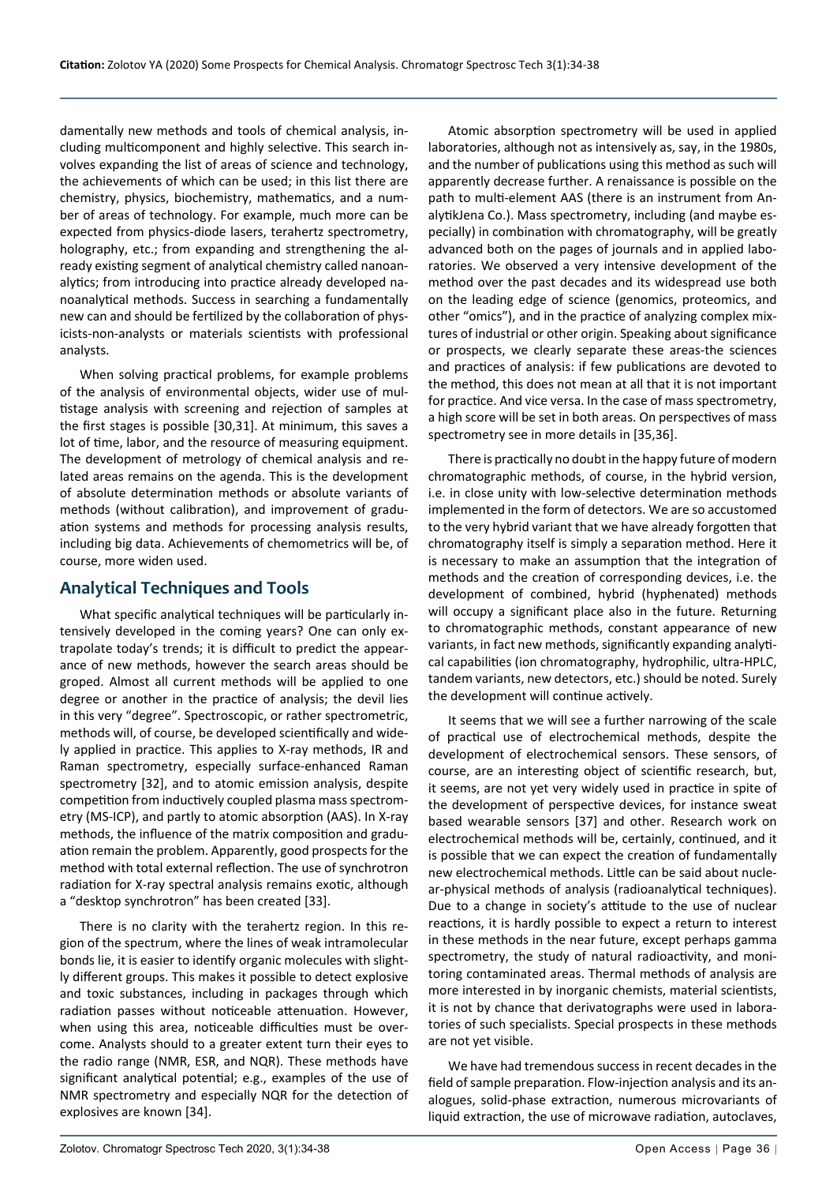damentally new methods and tools of chemical analysis, including multicomponent and highly selective. This search involves expanding the list of areas of science and technology, the achievements of which can be used; in this list there are chemistry, physics, biochemistry, mathematics, and a number of areas of technology. For example, much more can be expected from physics-diode lasers, terahertz spectrometry, holography, etc.; from expanding and strengthening the already existing segment of analytical chemistry called nanoanalytics; from introducing into practice already developed nanoanalytical methods. Success in searching a fundamentally new can and should be fertilized by the collaboration of physicists-non-analysts or materials scientists with professional analysts.

When solving practical problems, for example problems of the analysis of environmental objects, wider use of multistage analysis with screening and rejection of samples at the first stages is possible [30,31]. At minimum, this saves a lot of time, labor, and the resource of measuring equipment. The development of metrology of chemical analysis and related areas remains on the agenda. This is the development of absolute determination methods or absolute variants of methods (without calibration), and improvement of graduation systems and methods for processing analysis results, including big data. Achievements of chemometrics will be, of course, more widen used.

## **Analytical Techniques and Tools**

What specific analytical techniques will be particularly intensively developed in the coming years? One can only extrapolate today's trends; it is difficult to predict the appearance of new methods, however the search areas should be groped. Almost all current methods will be applied to one degree or another in the practice of analysis; the devil lies in this very "degree". Spectroscopic, or rather spectrometric, methods will, of course, be developed scientifically and widely applied in practice. This applies to X-ray methods, IR and Raman spectrometry, especially surface-enhanced Raman spectrometry [32], and to atomic emission analysis, despite competition from inductively coupled plasma mass spectrometry (MS-ICP), and partly to atomic absorption (AAS). In X-ray methods, the influence of the matrix composition and graduation remain the problem. Apparently, good prospects for the method with total external reflection. The use of synchrotron radiation for X-ray spectral analysis remains exotic, although a "desktop synchrotron" has been created [33].

There is no clarity with the terahertz region. In this region of the spectrum, where the lines of weak intramolecular bonds lie, it is easier to identify organic molecules with slightly different groups. This makes it possible to detect explosive and toxic substances, including in packages through which radiation passes without noticeable attenuation. However, when using this area, noticeable difficulties must be overcome. Analysts should to a greater extent turn their eyes to the radio range (NMR, ESR, and NQR). These methods have significant analytical potential; e.g., examples of the use of NMR spectrometry and especially NQR for the detection of explosives are known [34].

Atomic absorption spectrometry will be used in applied laboratories, although not as intensively as, say, in the 1980s, and the number of publications using this method as such will apparently decrease further. A renaissance is possible on the path to multi-element AAS (there is an instrument from AnalytikJena Co.). Mass spectrometry, including (and maybe especially) in combination with chromatography, will be greatly advanced both on the pages of journals and in applied laboratories. We observed a very intensive development of the method over the past decades and its widespread use both on the leading edge of science (genomics, proteomics, and other "omics"), and in the practice of analyzing complex mixtures of industrial or other origin. Speaking about significance or prospects, we clearly separate these areas-the sciences and practices of analysis: if few publications are devoted to the method, this does not mean at all that it is not important for practice. And vice versa. In the case of mass spectrometry, a high score will be set in both areas. On perspectives of mass spectrometry see in more details in [35,36].

There is practically no doubt in the happy future of modern chromatographic methods, of course, in the hybrid version, i.e. in close unity with low-selective determination methods implemented in the form of detectors. We are so accustomed to the very hybrid variant that we have already forgotten that chromatography itself is simply a separation method. Here it is necessary to make an assumption that the integration of methods and the creation of corresponding devices, i.e. the development of combined, hybrid (hyphenated) methods will occupy a significant place also in the future. Returning to chromatographic methods, constant appearance of new variants, in fact new methods, significantly expanding analytical capabilities (ion chromatography, hydrophilic, ultra-HPLC, tandem variants, new detectors, etc.) should be noted. Surely the development will continue actively.

It seems that we will see a further narrowing of the scale of practical use of electrochemical methods, despite the development of electrochemical sensors. These sensors, of course, are an interesting object of scientific research, but, it seems, are not yet very widely used in practice in spite of the development of perspective devices, for instance sweat based wearable sensors [37] and other. Research work on electrochemical methods will be, certainly, continued, and it is possible that we can expect the creation of fundamentally new electrochemical methods. Little can be said about nuclear-physical methods of analysis (radioanalytical techniques). Due to a change in society's attitude to the use of nuclear reactions, it is hardly possible to expect a return to interest in these methods in the near future, except perhaps gamma spectrometry, the study of natural radioactivity, and monitoring contaminated areas. Thermal methods of analysis are more interested in by inorganic chemists, material scientists, it is not by chance that derivatographs were used in laboratories of such specialists. Special prospects in these methods are not yet visible.

We have had tremendous success in recent decades in the field of sample preparation. Flow-injection analysis and its analogues, solid-phase extraction, numerous microvariants of liquid extraction, the use of microwave radiation, autoclaves,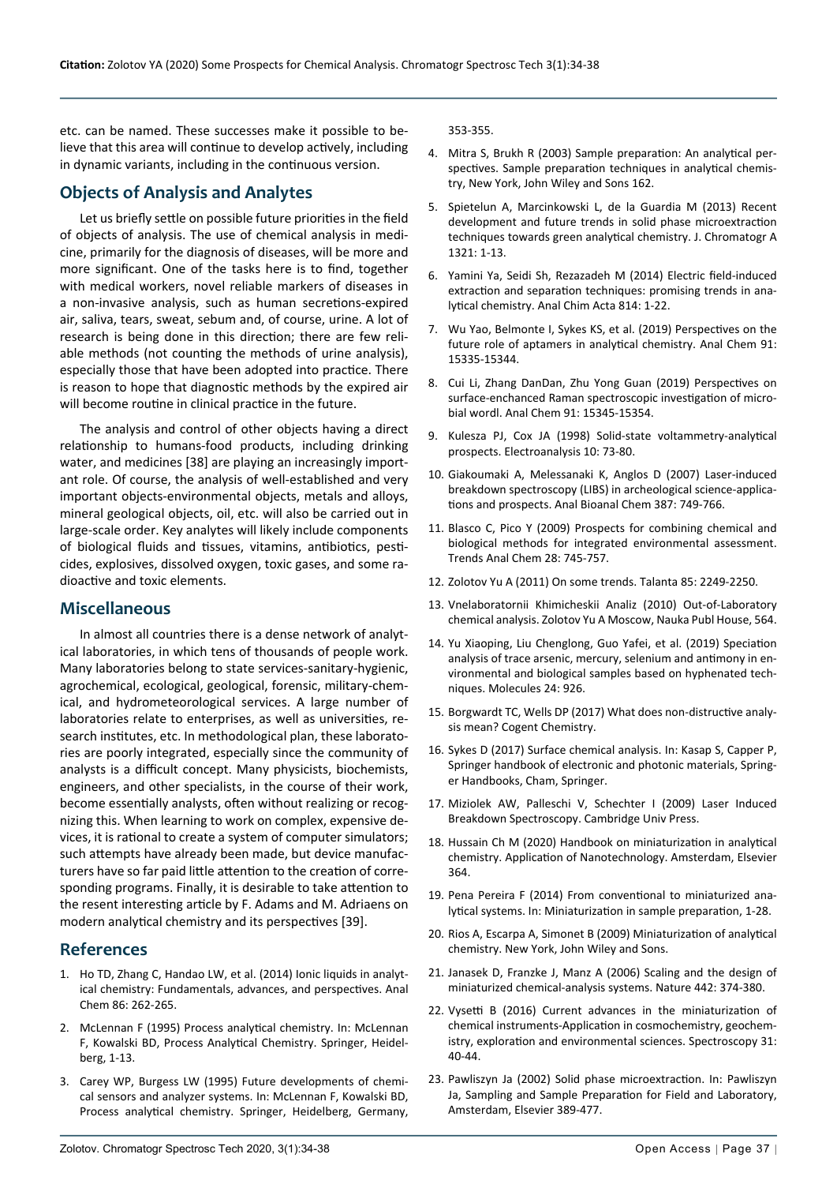etc. can be named. These successes make it possible to believe that this area will continue to develop actively, including in dynamic variants, including in the continuous version.

## **Objects of Analysis and Analytes**

Let us briefly settle on possible future priorities in the field of objects of analysis. The use of chemical analysis in medicine, primarily for the diagnosis of diseases, will be more and more significant. One of the tasks here is to find, together with medical workers, novel reliable markers of diseases in a non-invasive analysis, such as human secretions-expired air, saliva, tears, sweat, sebum and, of course, urine. A lot of research is being done in this direction; there are few reliable methods (not counting the methods of urine analysis), especially those that have been adopted into practice. There is reason to hope that diagnostic methods by the expired air will become routine in clinical practice in the future.

The analysis and control of other objects having a direct relationship to humans-food products, including drinking water, and medicines [38] are playing an increasingly important role. Of course, the analysis of well-established and very important objects-environmental objects, metals and alloys, mineral geological objects, oil, etc. will also be carried out in large-scale order. Key analytes will likely include components of biological fluids and tissues, vitamins, antibiotics, pesticides, explosives, dissolved oxygen, toxic gases, and some radioactive and toxic elements.

### **Miscellaneous**

In almost all countries there is a dense network of analytical laboratories, in which tens of thousands of people work. Many laboratories belong to state services-sanitary-hygienic, agrochemical, ecological, geological, forensic, military-chemical, and hydrometeorological services. A large number of laboratories relate to enterprises, as well as universities, research institutes, etc. In methodological plan, these laboratories are poorly integrated, especially since the community of analysts is a difficult concept. Many physicists, biochemists, engineers, and other specialists, in the course of their work, become essentially analysts, often without realizing or recognizing this. When learning to work on complex, expensive devices, it is rational to create a system of computer simulators; such attempts have already been made, but device manufacturers have so far paid little attention to the creation of corresponding programs. Finally, it is desirable to take attention to the resent interesting article by F. Adams and M. Adriaens on modern analytical chemistry and its perspectives [39].

### **References**

- 1. [Ho TD, Zhang C, Handao LW, et al. \(2014\) Ionic liquids in analyt](https://pubmed.ncbi.nlm.nih.gov/24205989/)[ical chemistry: Fundamentals, advances, and perspectives. Anal](https://pubmed.ncbi.nlm.nih.gov/24205989/)  [Chem 86: 262-265.](https://pubmed.ncbi.nlm.nih.gov/24205989/)
- 2. [McLennan F \(1995\) Process analytical chemistry. In: McLennan](https://link.springer.com/book/10.1007/978-94-011-0591-0)  [F, Kowalski BD, Process Analytical Chemistry. Springer, Heidel](https://link.springer.com/book/10.1007/978-94-011-0591-0)[berg, 1-13.](https://link.springer.com/book/10.1007/978-94-011-0591-0)
- 3. [Carey WP, Burgess LW \(1995\) Future developments of chemi](https://link.springer.com/chapter/10.1007/978-94-011-0591-0_11)[cal sensors and analyzer systems. In: McLennan F, Kowalski BD,](https://link.springer.com/chapter/10.1007/978-94-011-0591-0_11)  [Process analytical chemistry. Springer, Heidelberg, Germany,](https://link.springer.com/chapter/10.1007/978-94-011-0591-0_11)

[353-355.](https://link.springer.com/chapter/10.1007/978-94-011-0591-0_11)

- 4. [Mitra S, Brukh R \(2003\) Sample preparation: An analytical per](https://onlinelibrary.wiley.com/doi/10.1002/0471457817.ch1)[spectives. Sample preparation techniques in analytical chemis](https://onlinelibrary.wiley.com/doi/10.1002/0471457817.ch1)[try, New York, John Wiley and Sons 162.](https://onlinelibrary.wiley.com/doi/10.1002/0471457817.ch1)
- 5. [Spietelun A, Marcinkowski L, de la Guardia M \(2013\) Recent](https://pubmed.ncbi.nlm.nih.gov/24238710/)  [development and future trends in solid phase microextraction](https://pubmed.ncbi.nlm.nih.gov/24238710/)  [techniques towards green analytical chemistry. J. Chromatogr A](https://pubmed.ncbi.nlm.nih.gov/24238710/)  [1321: 1-13.](https://pubmed.ncbi.nlm.nih.gov/24238710/)
- 6. [Yamini Ya, Seidi Sh, Rezazadeh M \(2014\) Electric field-induced](https://www.sciencedirect.com/science/article/abs/pii/S0003267013015687)  [extraction and separation techniques: promising trends in ana](https://www.sciencedirect.com/science/article/abs/pii/S0003267013015687)[lytical chemistry. Anal Chim Acta 814: 1-22.](https://www.sciencedirect.com/science/article/abs/pii/S0003267013015687)
- 7. [Wu Yao, Belmonte I, Sykes KS, et al. \(2019\) Perspectives on the](https://pubmed.ncbi.nlm.nih.gov/31714748/)  [future role of aptamers in analytical chemistry. Anal Chem 91:](https://pubmed.ncbi.nlm.nih.gov/31714748/)  [15335-15344.](https://pubmed.ncbi.nlm.nih.gov/31714748/)
- 8. [Cui Li, Zhang DanDan, Zhu Yong Guan \(2019\) Perspectives on](https://pubmed.ncbi.nlm.nih.gov/31714062/)  [surface-enchanced Raman spectroscopic investigation of micro](https://pubmed.ncbi.nlm.nih.gov/31714062/)[bial wordl. Anal Chem 91: 15345-15354.](https://pubmed.ncbi.nlm.nih.gov/31714062/)
- 9. [Kulesza PJ, Cox JA \(1998\) Solid-state voltammetry-analytical](https://onlinelibrary.wiley.com/doi/abs/10.1002/%28SICI%291521-4109%28199802%2910%3A2%3C73%3A%3AAID-ELAN73%3E3.0.CO%3B2-K)  [prospects. Electroanalysis 10: 73-80.](https://onlinelibrary.wiley.com/doi/abs/10.1002/%28SICI%291521-4109%28199802%2910%3A2%3C73%3A%3AAID-ELAN73%3E3.0.CO%3B2-K)
- 10. [Giakoumaki A, Melessanaki K, Anglos D \(2007\) Laser-induced](https://pubmed.ncbi.nlm.nih.gov/17124575/)  [breakdown spectroscopy \(LIBS\) in archeological science-applica](https://pubmed.ncbi.nlm.nih.gov/17124575/)[tions and prospects. Anal Bioanal Chem 387: 749-766.](https://pubmed.ncbi.nlm.nih.gov/17124575/)
- 11. [Blasco C, Pico Y \(2009\) Prospects for combining chemical and](https://www.sciencedirect.com/science/article/abs/pii/S016599360900079X)  [biological methods for integrated environmental assessment.](https://www.sciencedirect.com/science/article/abs/pii/S016599360900079X)  [Trends Anal Chem 28: 745-757.](https://www.sciencedirect.com/science/article/abs/pii/S016599360900079X)
- 12. Zolotov Yu A (2011) On some trends. Talanta 85: 2249-2250.
- 13. Vnelaboratornii Khimicheskii Analiz (2010) Out-of-Laboratory chemical analysis. Zolotov Yu A Moscow, Nauka Publ House, 564.
- 14. [Yu Xiaoping, Liu Chenglong, Guo Yafei, et al. \(2019\) Speciation](https://pubmed.ncbi.nlm.nih.gov/30866421/)  [analysis of trace arsenic, mercury, selenium and antimony in en](https://pubmed.ncbi.nlm.nih.gov/30866421/)[vironmental and biological samples based on hyphenated tech](https://pubmed.ncbi.nlm.nih.gov/30866421/)[niques. Molecules 24: 926.](https://pubmed.ncbi.nlm.nih.gov/30866421/)
- 15. [Borgwardt TC, Wells DP \(2017\) What does non-distructive analy](https://www.cogentoa.com/article/10.1080/23312009.2017.1405767)[sis mean? Cogent Chemistry.](https://www.cogentoa.com/article/10.1080/23312009.2017.1405767)
- 16. Sykes D (2017) Surface chemical analysis. In: Kasap S, Capper P, Springer handbook of electronic and photonic materials, Springer Handbooks, Cham, Springer.
- 17. [Miziolek AW, Palleschi V, Schechter I \(2009\) Laser Induced](https://www.cambridge.org/core/books/laser-induced-breakdown-spectroscopy/357151F2D8F7F59FA63DDAF4A1D13B4A)  [Breakdown Spectroscopy. Cambridge Univ Press.](https://www.cambridge.org/core/books/laser-induced-breakdown-spectroscopy/357151F2D8F7F59FA63DDAF4A1D13B4A)
- 18. [Hussain Ch M \(2020\) Handbook on miniaturization in analytical](https://www.elsevier.com/books/handbook-on-miniaturization-in-analytical-chemistry/hussain/978-0-12-819763-9)  [chemistry. Application of Nanotechnology. Amsterdam, Elsevier](https://www.elsevier.com/books/handbook-on-miniaturization-in-analytical-chemistry/hussain/978-0-12-819763-9)  [364.](https://www.elsevier.com/books/handbook-on-miniaturization-in-analytical-chemistry/hussain/978-0-12-819763-9)
- 19. Pena Pereira F (2014) From conventional to miniaturized analytical systems. In: Miniaturization in sample preparation, 1-28.
- 20. [Rios A, Escarpa A, Simonet B \(2009\) Miniaturization of analytical](http://c3162802.workcast.net/10211_Miniaturization_in_Analytical_Chemistry_2011106145239.pdf)  [chemistry. New York, John Wiley and Sons.](http://c3162802.workcast.net/10211_Miniaturization_in_Analytical_Chemistry_2011106145239.pdf)
- 21. [Janasek D, Franzke J, Manz A \(2006\) Scaling and the design of](https://pubmed.ncbi.nlm.nih.gov/16871204/)  [miniaturized chemical-analysis systems. Nature 442: 374-380.](https://pubmed.ncbi.nlm.nih.gov/16871204/)
- 22. [Vysetti B \(2016\) Current advances in the miniaturization of](https://www.spectroscopyonline.com/view/current-advances-miniaturization-analytical-instruments-applications-cosmochemistry-geochemistry-exp)  [chemical instruments-Application in cosmochemistry, geochem](https://www.spectroscopyonline.com/view/current-advances-miniaturization-analytical-instruments-applications-cosmochemistry-geochemistry-exp)[istry, exploration and environmental sciences. Spectroscopy 31:](https://www.spectroscopyonline.com/view/current-advances-miniaturization-analytical-instruments-applications-cosmochemistry-geochemistry-exp)  [40-44.](https://www.spectroscopyonline.com/view/current-advances-miniaturization-analytical-instruments-applications-cosmochemistry-geochemistry-exp)
- 23. Pawliszyn Ja (2002) Solid phase microextraction. In: Pawliszyn Ja, Sampling and Sample Preparation for Field and Laboratory, Amsterdam, Elsevier 389-477.